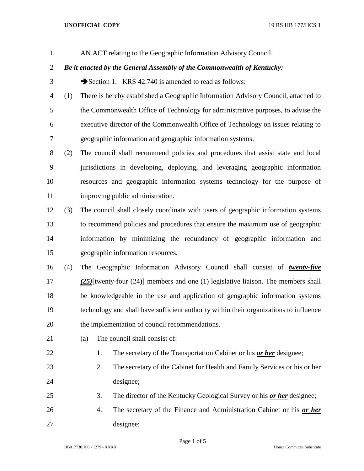## **UNOFFICIAL COPY** 19 RS HB 177/HCS 1

AN ACT relating to the Geographic Information Advisory Council.

## *Be it enacted by the General Assembly of the Commonwealth of Kentucky:*

- 3 Section 1. KRS 42.740 is amended to read as follows:
- (1) There is hereby established a Geographic Information Advisory Council, attached to the Commonwealth Office of Technology for administrative purposes, to advise the executive director of the Commonwealth Office of Technology on issues relating to geographic information and geographic information systems.
- (2) The council shall recommend policies and procedures that assist state and local jurisdictions in developing, deploying, and leveraging geographic information resources and geographic information systems technology for the purpose of improving public administration.
- (3) The council shall closely coordinate with users of geographic information systems to recommend policies and procedures that ensure the maximum use of geographic information by minimizing the redundancy of geographic information and geographic information resources.
- (4) The Geographic Information Advisory Council shall consist of *twenty-five (25)*[twenty-four (24)] members and one (1) legislative liaison. The members shall be knowledgeable in the use and application of geographic information systems technology and shall have sufficient authority within their organizations to influence the implementation of council recommendations.
- 
- 21 (a) The council shall consist of:
- 1. The secretary of the Transportation Cabinet or his *or her* designee;
- 2. The secretary of the Cabinet for Health and Family Services or his or her designee;
- 3. The director of the Kentucky Geological Survey or his *or her* designee;
- 4. The secretary of the Finance and Administration Cabinet or his *or her* designee;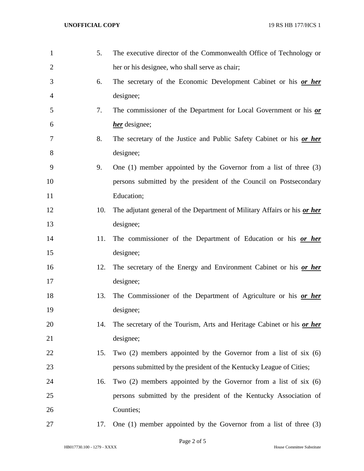| $\mathbf{1}$   | 5.  | The executive director of the Commonwealth Office of Technology or       |
|----------------|-----|--------------------------------------------------------------------------|
| $\overline{2}$ |     | her or his designee, who shall serve as chair;                           |
| 3              | 6.  | The secretary of the Economic Development Cabinet or his or her          |
| $\overline{4}$ |     | designee;                                                                |
| 5              | 7.  | The commissioner of the Department for Local Government or his or        |
| 6              |     | <i>her</i> designee;                                                     |
| 7              | 8.  | The secretary of the Justice and Public Safety Cabinet or his or her     |
| 8              |     | designee;                                                                |
| 9              | 9.  | One $(1)$ member appointed by the Governor from a list of three $(3)$    |
| 10             |     | persons submitted by the president of the Council on Postsecondary       |
| 11             |     | Education;                                                               |
| 12             | 10. | The adjutant general of the Department of Military Affairs or his or her |
| 13             |     | designee;                                                                |
| 14             | 11. | The commissioner of the Department of Education or his or her            |
| 15             |     | designee;                                                                |
| 16             | 12. | The secretary of the Energy and Environment Cabinet or his or her        |
| 17             |     | designee;                                                                |
| 18             | 13. | The Commissioner of the Department of Agriculture or his or her          |
| 19             |     | designee;                                                                |
| 20             | 14. | The secretary of the Tourism, Arts and Heritage Cabinet or his or her    |
| 21             |     | designee;                                                                |
| 22             | 15. | Two $(2)$ members appointed by the Governor from a list of six $(6)$     |
| 23             |     | persons submitted by the president of the Kentucky League of Cities;     |
| 24             | 16. | Two $(2)$ members appointed by the Governor from a list of six $(6)$     |
| 25             |     | persons submitted by the president of the Kentucky Association of        |
| 26             |     | Counties;                                                                |
| 27             | 17. | One $(1)$ member appointed by the Governor from a list of three $(3)$    |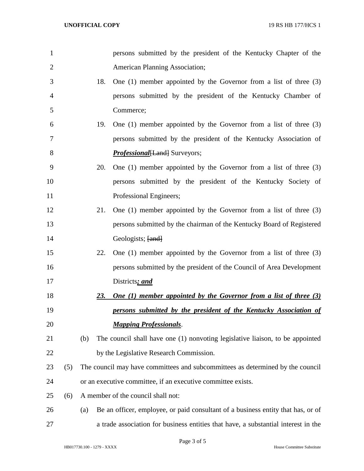| 1              |     |     |                                                                                | persons submitted by the president of the Kentucky Chapter of the                  |  |
|----------------|-----|-----|--------------------------------------------------------------------------------|------------------------------------------------------------------------------------|--|
| $\overline{2}$ |     |     |                                                                                | <b>American Planning Association;</b>                                              |  |
| 3              |     |     | 18.                                                                            | One $(1)$ member appointed by the Governor from a list of three $(3)$              |  |
| 4              |     |     |                                                                                | persons submitted by the president of the Kentucky Chamber of                      |  |
| 5              |     |     |                                                                                | Commerce;                                                                          |  |
| 6              |     |     | 19.                                                                            | One $(1)$ member appointed by the Governor from a list of three $(3)$              |  |
| 7              |     |     |                                                                                | persons submitted by the president of the Kentucky Association of                  |  |
| 8              |     |     |                                                                                | <b>Professional</b> [Land] Surveyors;                                              |  |
| 9              |     |     | 20.                                                                            | One $(1)$ member appointed by the Governor from a list of three $(3)$              |  |
| 10             |     |     |                                                                                | persons submitted by the president of the Kentucky Society of                      |  |
| 11             |     |     |                                                                                | Professional Engineers;                                                            |  |
| 12             |     |     | 21.                                                                            | One $(1)$ member appointed by the Governor from a list of three $(3)$              |  |
| 13             |     |     |                                                                                | persons submitted by the chairman of the Kentucky Board of Registered              |  |
| 14             |     |     |                                                                                | Geologists; [and]                                                                  |  |
| 15             |     |     | 22.                                                                            | One $(1)$ member appointed by the Governor from a list of three $(3)$              |  |
| 16             |     |     |                                                                                | persons submitted by the president of the Council of Area Development              |  |
| 17             |     |     |                                                                                | Districts; and                                                                     |  |
| 18             |     |     | <u>23.</u>                                                                     | <b>One (1) member appointed by the Governor from a list of three (3)</b>           |  |
| 19             |     |     |                                                                                | persons submitted by the president of the Kentucky Association of                  |  |
| 20             |     |     |                                                                                | <b>Mapping Professionals.</b>                                                      |  |
| 21             |     | (b) |                                                                                | The council shall have one (1) nonvoting legislative liaison, to be appointed      |  |
| 22             |     |     |                                                                                | by the Legislative Research Commission.                                            |  |
| 23             | (5) |     | The council may have committees and subcommittees as determined by the council |                                                                                    |  |
| 24             |     |     |                                                                                | or an executive committee, if an executive committee exists.                       |  |
| 25             | (6) |     |                                                                                | A member of the council shall not:                                                 |  |
| 26             |     | (a) |                                                                                | Be an officer, employee, or paid consultant of a business entity that has, or of   |  |
| 27             |     |     |                                                                                | a trade association for business entities that have, a substantial interest in the |  |

Page 3 of 5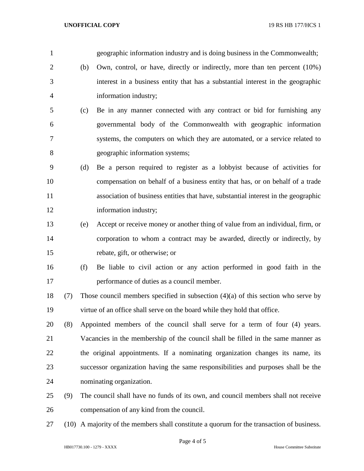**UNOFFICIAL COPY** 19 RS HB 177/HCS 1

 geographic information industry and is doing business in the Commonwealth; (b) Own, control, or have, directly or indirectly, more than ten percent (10%) interest in a business entity that has a substantial interest in the geographic information industry; (c) Be in any manner connected with any contract or bid for furnishing any governmental body of the Commonwealth with geographic information systems, the computers on which they are automated, or a service related to geographic information systems; (d) Be a person required to register as a lobbyist because of activities for compensation on behalf of a business entity that has, or on behalf of a trade association of business entities that have, substantial interest in the geographic information industry; (e) Accept or receive money or another thing of value from an individual, firm, or corporation to whom a contract may be awarded, directly or indirectly, by rebate, gift, or otherwise; or (f) Be liable to civil action or any action performed in good faith in the performance of duties as a council member. 18 (7) Those council members specified in subsection  $(4)(a)$  of this section who serve by virtue of an office shall serve on the board while they hold that office. (8) Appointed members of the council shall serve for a term of four (4) years. Vacancies in the membership of the council shall be filled in the same manner as the original appointments. If a nominating organization changes its name, its successor organization having the same responsibilities and purposes shall be the nominating organization. (9) The council shall have no funds of its own, and council members shall not receive compensation of any kind from the council. (10) A majority of the members shall constitute a quorum for the transaction of business.

Page 4 of 5